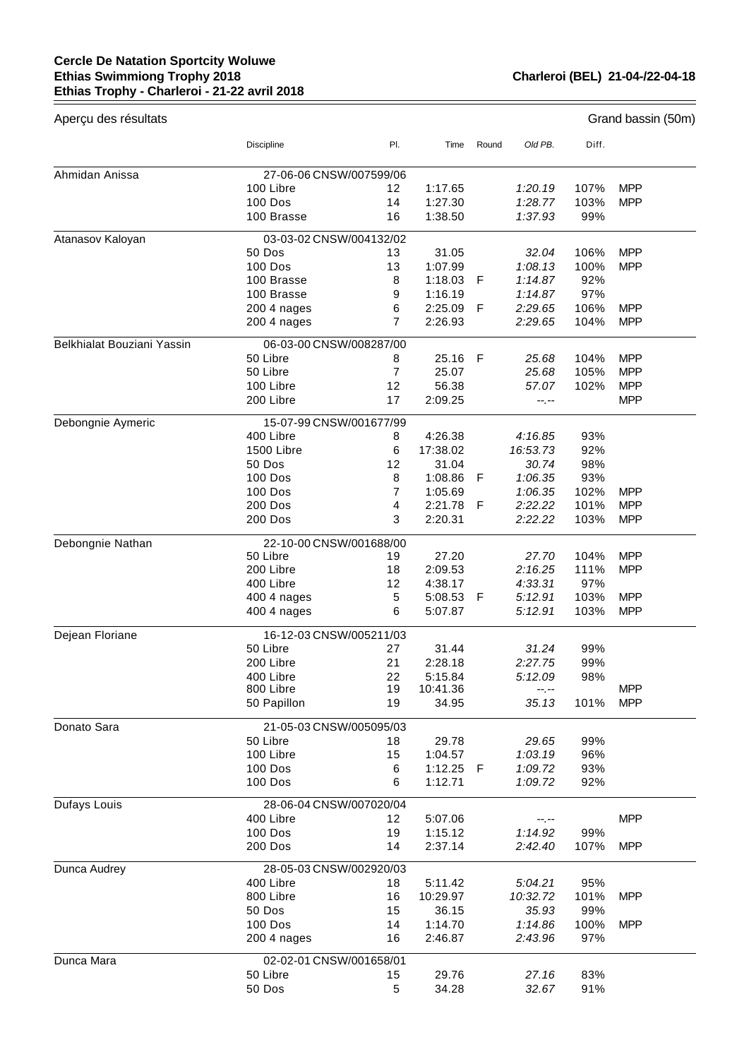## **Cercle De Natation Sportcity Woluwe Ethias Swimmiong Trophy 2018 Ethias Trophy - Charleroi - 21-22 avril 2018**

 $\equiv$ 

| Aperçu des résultats       |                            |                |                    |       |                    |              | Grand bassin (50m)       |  |  |
|----------------------------|----------------------------|----------------|--------------------|-------|--------------------|--------------|--------------------------|--|--|
|                            | <b>Discipline</b>          | PI.            | Time               | Round | Old PB.            | Diff.        |                          |  |  |
| Ahmidan Anissa             | 27-06-06 CNSW/007599/06    |                |                    |       |                    |              |                          |  |  |
|                            | 100 Libre                  | 12             | 1:17.65            |       | 1:20.19            | 107%         | <b>MPP</b>               |  |  |
|                            | <b>100 Dos</b>             | 14             | 1:27.30            |       | 1:28.77            | 103%         | <b>MPP</b>               |  |  |
|                            | 100 Brasse                 | 16             | 1:38.50            |       | 1:37.93            | 99%          |                          |  |  |
| Atanasov Kaloyan           | 03-03-02 CNSW/004132/02    |                |                    |       |                    |              |                          |  |  |
|                            | 50 Dos                     | 13             | 31.05              |       | 32.04              | 106%         | <b>MPP</b>               |  |  |
|                            | <b>100 Dos</b>             | 13             | 1:07.99            |       | 1:08.13            | 100%         | <b>MPP</b>               |  |  |
|                            | 100 Brasse                 | 8              | 1:18.03            | F     | 1:14.87            | 92%          |                          |  |  |
|                            | 100 Brasse                 | 9              | 1:16.19            |       | 1:14.87            | 97%          |                          |  |  |
|                            | 200 4 nages                | 6              | 2:25.09            | F     | 2:29.65            | 106%         | <b>MPP</b>               |  |  |
|                            | 200 4 nages                | 7              | 2:26.93            |       | 2:29.65            | 104%         | <b>MPP</b>               |  |  |
| Belkhialat Bouziani Yassin | 06-03-00 CNSW/008287/00    |                |                    |       |                    |              |                          |  |  |
|                            | 50 Libre                   | 8              | 25.16              | F     | 25.68              | 104%         | <b>MPP</b>               |  |  |
|                            | 50 Libre                   | $\overline{7}$ | 25.07              |       | 25.68              | 105%         | <b>MPP</b>               |  |  |
|                            | 100 Libre                  | 12             | 56.38              |       | 57.07              | 102%         | <b>MPP</b>               |  |  |
|                            | 200 Libre                  | 17             | 2:09.25            |       | --.--              |              | <b>MPP</b>               |  |  |
| Debongnie Aymeric          | 15-07-99 CNSW/001677/99    |                |                    |       |                    |              |                          |  |  |
|                            | 400 Libre                  | 8              | 4:26.38            |       | 4:16.85            | 93%          |                          |  |  |
|                            | 1500 Libre                 | 6              | 17:38.02           |       | 16:53.73           | 92%          |                          |  |  |
|                            | 50 Dos                     | 12             | 31.04              |       | 30.74              | 98%          |                          |  |  |
|                            | <b>100 Dos</b>             | 8              | 1:08.86            | F     | 1:06.35            | 93%          |                          |  |  |
|                            | <b>100 Dos</b>             | 7              | 1:05.69            |       | 1:06.35            | 102%         | <b>MPP</b>               |  |  |
|                            | 200 Dos                    | 4              | 2:21.78            | F     | 2:22.22            | 101%         | <b>MPP</b>               |  |  |
|                            | <b>200 Dos</b>             | 3              | 2:20.31            |       | 2:22.22            | 103%         | <b>MPP</b>               |  |  |
| Debongnie Nathan           | 22-10-00 CNSW/001688/00    |                |                    |       |                    |              |                          |  |  |
|                            | 50 Libre                   | 19             | 27.20              |       | 27.70              | 104%         | <b>MPP</b>               |  |  |
|                            | 200 Libre                  | 18             | 2:09.53            |       | 2:16.25            | 111%         | <b>MPP</b>               |  |  |
|                            | 400 Libre                  | 12             | 4:38.17            |       | 4:33.31            | 97%          |                          |  |  |
|                            | 400 4 nages<br>400 4 nages | 5<br>6         | 5:08.53<br>5:07.87 | F     | 5:12.91<br>5:12.91 | 103%<br>103% | <b>MPP</b><br><b>MPP</b> |  |  |
|                            |                            |                |                    |       |                    |              |                          |  |  |
| Dejean Floriane            | 16-12-03 CNSW/005211/03    |                |                    |       |                    |              |                          |  |  |
|                            | 50 Libre                   | 27             | 31.44              |       | 31.24              | 99%          |                          |  |  |
|                            | 200 Libre                  | 21             | 2:28.18            |       | 2:27.75            | 99%          |                          |  |  |
|                            | 400 Libre                  | 22             | 5:15.84            |       | 5:12.09            | 98%          |                          |  |  |
|                            | 800 Libre                  | 19             | 10:41.36           |       | --.--              |              | <b>MPP</b>               |  |  |
|                            | 50 Papillon                | 19             | 34.95              |       | 35.13              | 101%         | <b>MPP</b>               |  |  |
| Donato Sara                | 21-05-03 CNSW/005095/03    |                |                    |       |                    |              |                          |  |  |
|                            | 50 Libre                   | 18             | 29.78              |       | 29.65              | 99%          |                          |  |  |
|                            | 100 Libre                  | 15             | 1:04.57            |       | 1:03.19            | 96%          |                          |  |  |
|                            | <b>100 Dos</b>             | 6              | 1:12.25            | -F    | 1:09.72            | 93%          |                          |  |  |
|                            | 100 Dos                    | 6              | 1:12.71            |       | 1:09.72            | 92%          |                          |  |  |
| Dufays Louis               | 28-06-04 CNSW/007020/04    |                |                    |       |                    |              |                          |  |  |
|                            | 400 Libre                  | 12             | 5:07.06            |       | --.--              |              | <b>MPP</b>               |  |  |
|                            | 100 Dos                    | 19             | 1:15.12            |       | 1:14.92            | 99%          |                          |  |  |
|                            | <b>200 Dos</b>             | 14             | 2:37.14            |       | 2:42.40            | 107%         | <b>MPP</b>               |  |  |
| Dunca Audrey               | 28-05-03 CNSW/002920/03    |                |                    |       |                    |              |                          |  |  |
|                            | 400 Libre                  | 18             | 5:11.42            |       | 5:04.21            | 95%          |                          |  |  |
|                            | 800 Libre                  | 16             | 10:29.97           |       | 10:32.72           | 101%         | <b>MPP</b>               |  |  |
|                            | 50 Dos                     | 15             | 36.15              |       | 35.93              | 99%          |                          |  |  |
|                            | 100 Dos                    | 14             | 1:14.70            |       | 1:14.86            | 100%         | <b>MPP</b>               |  |  |
|                            | 200 4 nages                | 16             | 2:46.87            |       | 2:43.96            | 97%          |                          |  |  |
| Dunca Mara                 | 02-02-01 CNSW/001658/01    |                |                    |       |                    |              |                          |  |  |
|                            | 50 Libre                   | 15             | 29.76              |       | 27.16              | 83%          |                          |  |  |
|                            | 50 Dos                     | 5              | 34.28              |       | 32.67              | 91%          |                          |  |  |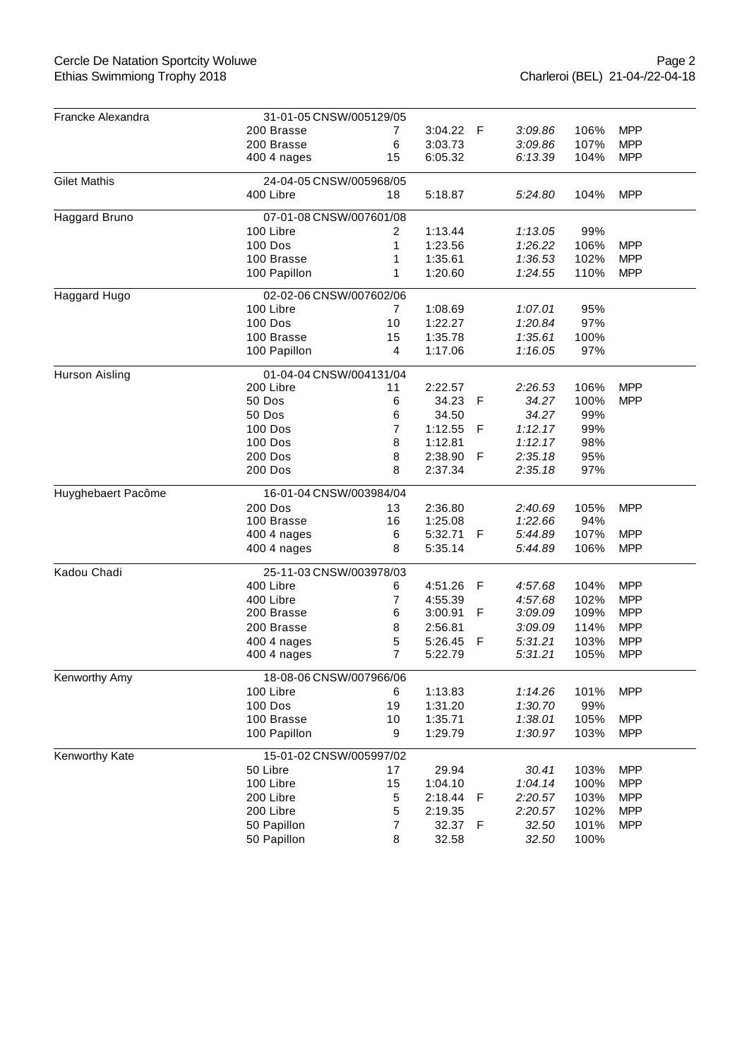| Francke Alexandra   | 31-01-05 CNSW/005129/05 |                |         |     |         |      |            |  |  |  |
|---------------------|-------------------------|----------------|---------|-----|---------|------|------------|--|--|--|
|                     | 200 Brasse              | 7              | 3:04.22 | - F | 3:09.86 | 106% | <b>MPP</b> |  |  |  |
|                     | 200 Brasse              | 6              | 3:03.73 |     | 3:09.86 | 107% | <b>MPP</b> |  |  |  |
|                     | 400 4 nages             | 15             | 6:05.32 |     | 6:13.39 | 104% | <b>MPP</b> |  |  |  |
| <b>Gilet Mathis</b> | 24-04-05 CNSW/005968/05 |                |         |     |         |      |            |  |  |  |
|                     | 400 Libre               | 18             | 5:18.87 |     | 5:24.80 | 104% | <b>MPP</b> |  |  |  |
| Haggard Bruno       | 07-01-08 CNSW/007601/08 |                |         |     |         |      |            |  |  |  |
|                     | 100 Libre               | $\overline{2}$ | 1:13.44 |     | 1:13.05 | 99%  |            |  |  |  |
|                     | <b>100 Dos</b>          | 1              | 1:23.56 |     | 1:26.22 | 106% | <b>MPP</b> |  |  |  |
|                     | 100 Brasse              | 1              | 1:35.61 |     | 1:36.53 | 102% | <b>MPP</b> |  |  |  |
|                     | 100 Papillon            | 1              | 1:20.60 |     | 1:24.55 | 110% | <b>MPP</b> |  |  |  |
| Haggard Hugo        | 02-02-06 CNSW/007602/06 |                |         |     |         |      |            |  |  |  |
|                     | 100 Libre               | 7              | 1:08.69 |     | 1:07.01 | 95%  |            |  |  |  |
|                     | 100 Dos                 | 10             | 1:22.27 |     | 1:20.84 | 97%  |            |  |  |  |
|                     | 100 Brasse              | 15             | 1:35.78 |     | 1:35.61 | 100% |            |  |  |  |
|                     | 100 Papillon            | 4              | 1:17.06 |     | 1:16.05 | 97%  |            |  |  |  |
| Hurson Aisling      | 01-04-04 CNSW/004131/04 |                |         |     |         |      |            |  |  |  |
|                     | 200 Libre               | 11             | 2:22.57 |     | 2:26.53 | 106% | <b>MPP</b> |  |  |  |
|                     | 50 Dos                  | 6              | 34.23   | F   | 34.27   | 100% | <b>MPP</b> |  |  |  |
|                     | 50 Dos                  | 6              | 34.50   |     | 34.27   | 99%  |            |  |  |  |
|                     | 100 Dos                 | 7              | 1:12.55 | F   | 1:12.17 | 99%  |            |  |  |  |
|                     | 100 Dos                 | 8              | 1:12.81 |     | 1:12.17 | 98%  |            |  |  |  |
|                     | <b>200 Dos</b>          | 8              | 2:38.90 | F   | 2:35.18 | 95%  |            |  |  |  |
|                     | <b>200 Dos</b>          | 8              | 2:37.34 |     | 2:35.18 | 97%  |            |  |  |  |
| Huyghebaert Pacôme  | 16-01-04 CNSW/003984/04 |                |         |     |         |      |            |  |  |  |
|                     | 200 Dos                 | 13             | 2:36.80 |     | 2:40.69 | 105% | <b>MPP</b> |  |  |  |
|                     | 100 Brasse              | 16             | 1:25.08 |     | 1:22.66 | 94%  |            |  |  |  |
|                     | 400 4 nages             | 6              | 5:32.71 | F   | 5:44.89 | 107% | <b>MPP</b> |  |  |  |
|                     | 400 4 nages             | 8              | 5:35.14 |     | 5:44.89 | 106% | <b>MPP</b> |  |  |  |
| Kadou Chadi         | 25-11-03 CNSW/003978/03 |                |         |     |         |      |            |  |  |  |
|                     | 400 Libre               | 6              | 4:51.26 | F   | 4:57.68 | 104% | <b>MPP</b> |  |  |  |
|                     | 400 Libre               | 7              | 4:55.39 |     | 4:57.68 | 102% | <b>MPP</b> |  |  |  |
|                     | 200 Brasse              | 6              | 3:00.91 | F   | 3:09.09 | 109% | <b>MPP</b> |  |  |  |
|                     | 200 Brasse              | 8              | 2:56.81 |     | 3:09.09 | 114% | <b>MPP</b> |  |  |  |
|                     | 400 4 nages             | 5              | 5:26.45 | F   | 5:31.21 | 103% | <b>MPP</b> |  |  |  |
|                     | 400 4 nages             | $\overline{7}$ | 5:22.79 |     | 5:31.21 | 105% | <b>MPP</b> |  |  |  |
| Kenworthy Amy       | 18-08-06 CNSW/007966/06 |                |         |     |         |      |            |  |  |  |
|                     | 100 Libre               | 6              | 1:13.83 |     | 1:14.26 | 101% | <b>MPP</b> |  |  |  |
|                     | <b>100 Dos</b>          | 19             | 1:31.20 |     | 1:30.70 | 99%  |            |  |  |  |
|                     | 100 Brasse              | 10             | 1:35.71 |     | 1:38.01 | 105% | <b>MPP</b> |  |  |  |
|                     | 100 Papillon            | 9              | 1:29.79 |     | 1:30.97 | 103% | <b>MPP</b> |  |  |  |
| Kenworthy Kate      | 15-01-02 CNSW/005997/02 |                |         |     |         |      |            |  |  |  |
|                     | 50 Libre                | 17             | 29.94   |     | 30.41   | 103% | <b>MPP</b> |  |  |  |
|                     | 100 Libre               | 15             | 1:04.10 |     | 1:04.14 | 100% | <b>MPP</b> |  |  |  |
|                     | 200 Libre               | 5              | 2:18.44 | F   | 2:20.57 | 103% | <b>MPP</b> |  |  |  |
|                     | 200 Libre               | 5              | 2:19.35 |     | 2:20.57 | 102% | <b>MPP</b> |  |  |  |
|                     | 50 Papillon             | 7              | 32.37   | - F | 32.50   | 101% | <b>MPP</b> |  |  |  |
|                     | 50 Papillon             | 8              | 32.58   |     | 32.50   | 100% |            |  |  |  |
|                     |                         |                |         |     |         |      |            |  |  |  |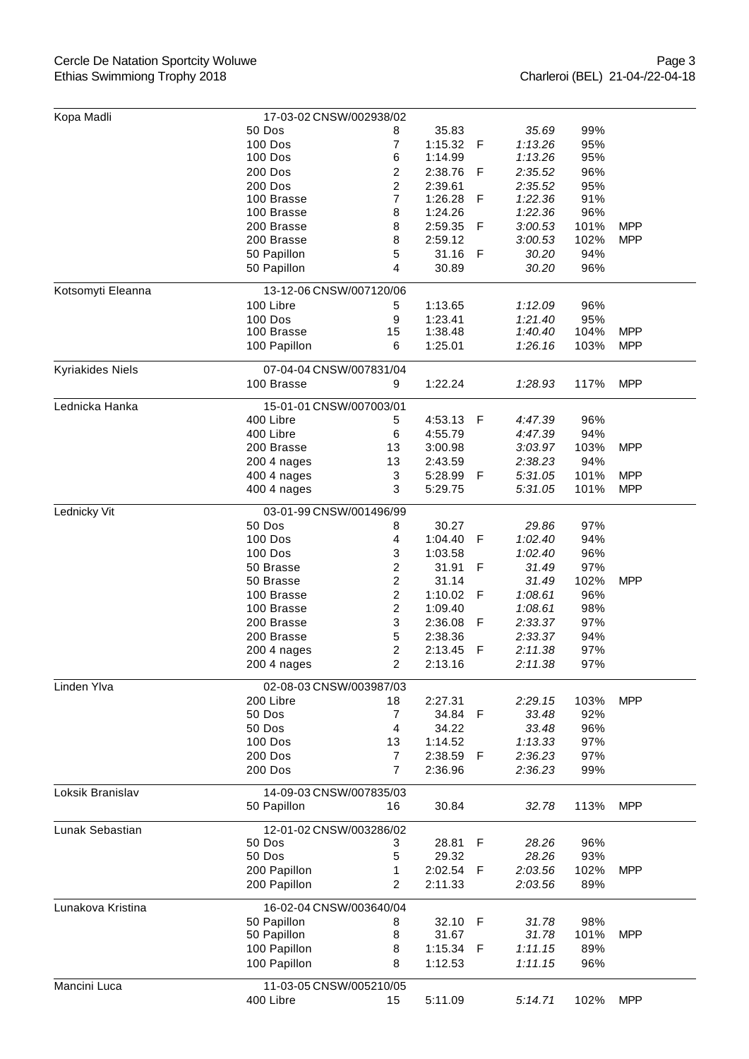## Cercle De Natation Sportcity Woluwe Ethias Swimmiong Trophy 2018

| Kopa Madli        | 17-03-02 CNSW/002938/02           |                         |         |     |         |      |            |
|-------------------|-----------------------------------|-------------------------|---------|-----|---------|------|------------|
|                   | 50 Dos                            | 8                       | 35.83   |     | 35.69   | 99%  |            |
|                   | 100 Dos                           | 7                       | 1:15.32 | F   | 1:13.26 | 95%  |            |
|                   | 100 Dos                           | 6                       | 1:14.99 |     | 1:13.26 | 95%  |            |
|                   | 200 Dos                           | 2                       | 2:38.76 | F   | 2:35.52 | 96%  |            |
|                   | 200 Dos                           | $\overline{\mathbf{c}}$ | 2:39.61 |     | 2:35.52 | 95%  |            |
|                   | 100 Brasse                        | $\overline{7}$          | 1:26.28 | F   | 1:22.36 | 91%  |            |
|                   | 100 Brasse                        | 8                       | 1:24.26 |     | 1:22.36 | 96%  |            |
|                   | 200 Brasse                        | 8                       | 2:59.35 | F   | 3:00.53 | 101% | <b>MPP</b> |
|                   | 200 Brasse                        | 8                       | 2:59.12 |     | 3:00.53 | 102% | <b>MPP</b> |
|                   | 50 Papillon                       | 5                       | 31.16   | F   | 30.20   | 94%  |            |
|                   | 50 Papillon                       | 4                       | 30.89   |     | 30.20   | 96%  |            |
| Kotsomyti Eleanna | 13-12-06 CNSW/007120/06           |                         |         |     |         |      |            |
|                   | 100 Libre                         | 5                       | 1:13.65 |     | 1:12.09 | 96%  |            |
|                   | 100 Dos                           | 9                       | 1:23.41 |     | 1:21.40 | 95%  |            |
|                   | 100 Brasse                        | 15                      | 1:38.48 |     | 1:40.40 | 104% | <b>MPP</b> |
|                   | 100 Papillon                      | 6                       | 1:25.01 |     | 1:26.16 | 103% | <b>MPP</b> |
|                   |                                   |                         |         |     |         |      |            |
| Kyriakides Niels  | 07-04-04 CNSW/007831/04           |                         |         |     |         |      |            |
|                   | 100 Brasse                        | 9                       | 1:22.24 |     | 1:28.93 | 117% | <b>MPP</b> |
| Lednicka Hanka    | 15-01-01 CNSW/007003/01           |                         |         |     |         |      |            |
|                   | 400 Libre                         | 5                       | 4:53.13 | - F | 4:47.39 | 96%  |            |
|                   | 400 Libre                         | 6                       | 4:55.79 |     | 4:47.39 | 94%  |            |
|                   | 200 Brasse                        | 13                      | 3:00.98 |     | 3:03.97 | 103% | <b>MPP</b> |
|                   | 200 4 nages                       | 13                      | 2:43.59 |     | 2:38.23 | 94%  |            |
|                   | 400 4 nages                       | 3                       | 5:28.99 | F   | 5:31.05 | 101% | <b>MPP</b> |
|                   | 400 4 nages                       | 3                       | 5:29.75 |     | 5:31.05 | 101% | <b>MPP</b> |
| Lednicky Vit      | 03-01-99 CNSW/001496/99           |                         |         |     |         |      |            |
|                   | 50 Dos                            | 8                       | 30.27   |     | 29.86   | 97%  |            |
|                   | <b>100 Dos</b>                    | 4                       | 1:04.40 | F   | 1:02.40 | 94%  |            |
|                   | 100 Dos                           | 3                       | 1:03.58 |     | 1:02.40 | 96%  |            |
|                   | 50 Brasse                         | $\overline{\mathbf{c}}$ | 31.91   | F   | 31.49   | 97%  |            |
|                   | 50 Brasse                         | $\overline{\mathbf{c}}$ | 31.14   |     | 31.49   | 102% | <b>MPP</b> |
|                   | 100 Brasse                        | $\overline{\mathbf{c}}$ | 1:10.02 | F   | 1:08.61 | 96%  |            |
|                   | 100 Brasse                        | 2                       | 1:09.40 |     | 1:08.61 | 98%  |            |
|                   | 200 Brasse                        | 3                       | 2:36.08 | F   | 2:33.37 | 97%  |            |
|                   | 200 Brasse                        | 5                       | 2:38.36 |     | 2:33.37 | 94%  |            |
|                   | 200 4 nages                       | $\overline{\mathbf{c}}$ | 2:13.45 | F   | 2:11.38 | 97%  |            |
|                   | 200 4 nages                       | $\overline{2}$          | 2:13.16 |     | 2:11.38 | 97%  |            |
| Linden Ylva       | 02-08-03 CNSW/003987/03           |                         |         |     |         |      |            |
|                   | 200 Libre                         | 18                      | 2:27.31 |     | 2:29.15 | 103% | <b>MPP</b> |
|                   | 50 Dos                            | 7                       | 34.84   | F   | 33.48   | 92%  |            |
|                   | 50 Dos                            | 4                       | 34.22   |     | 33.48   | 96%  |            |
|                   | 100 Dos                           | 13                      | 1:14.52 |     | 1:13.33 | 97%  |            |
|                   | 200 Dos                           | $\overline{7}$          | 2:38.59 | F   | 2:36.23 | 97%  |            |
|                   | <b>200 Dos</b>                    | $\overline{7}$          | 2:36.96 |     | 2:36.23 | 99%  |            |
| Loksik Branislav  | 14-09-03 CNSW/007835/03           |                         |         |     |         |      |            |
|                   | 50 Papillon                       | 16                      | 30.84   |     | 32.78   | 113% | <b>MPP</b> |
|                   |                                   |                         |         |     |         |      |            |
| Lunak Sebastian   | 12-01-02 CNSW/003286/02<br>50 Dos | 3                       | 28.81   | F   | 28.26   | 96%  |            |
|                   | 50 Dos                            | 5                       | 29.32   |     | 28.26   | 93%  |            |
|                   | 200 Papillon                      | 1                       | 2:02.54 | F   | 2:03.56 | 102% | <b>MPP</b> |
|                   | 200 Papillon                      | 2                       | 2:11.33 |     | 2:03.56 | 89%  |            |
|                   |                                   |                         |         |     |         |      |            |
| Lunakova Kristina | 16-02-04 CNSW/003640/04           |                         |         |     |         |      |            |
|                   | 50 Papillon                       | 8                       | 32.10   | F   | 31.78   | 98%  |            |
|                   | 50 Papillon                       | 8                       | 31.67   |     | 31.78   | 101% | <b>MPP</b> |
|                   | 100 Papillon                      | 8                       | 1:15.34 | F   | 1:11.15 | 89%  |            |
|                   | 100 Papillon                      | 8                       | 1:12.53 |     | 1:11.15 | 96%  |            |
| Mancini Luca      | 11-03-05 CNSW/005210/05           |                         |         |     |         |      |            |
|                   | 400 Libre                         | 15                      | 5:11.09 |     | 5:14.71 | 102% | <b>MPP</b> |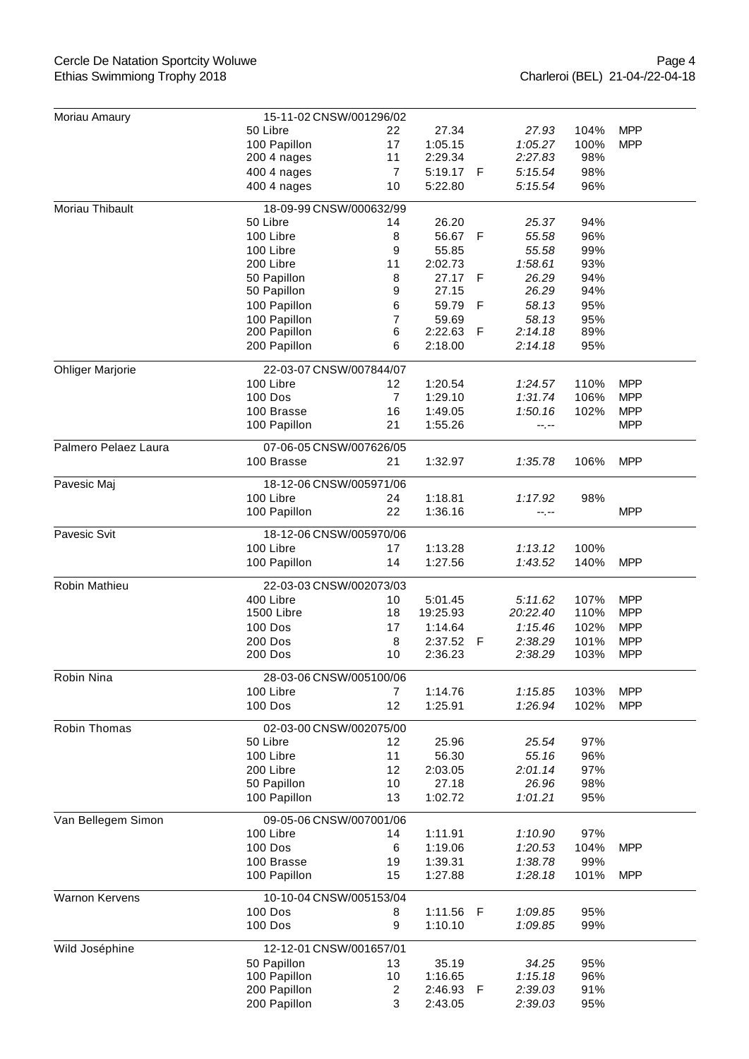## Cercle De Natation Sportcity Woluwe Ethias Swimmiong Trophy 2018

| Moriau Amaury           | 15-11-02 CNSW/001296/02              |                |          |   |          |      |            |  |  |
|-------------------------|--------------------------------------|----------------|----------|---|----------|------|------------|--|--|
|                         | 50 Libre                             | 22             | 27.34    |   | 27.93    | 104% | <b>MPP</b> |  |  |
|                         | 100 Papillon                         | 17             | 1:05.15  |   | 1:05.27  | 100% | <b>MPP</b> |  |  |
|                         | 200 4 nages                          | 11             | 2:29.34  |   | 2:27.83  | 98%  |            |  |  |
|                         | 400 4 nages                          | $\overline{7}$ | 5:19.17  | F | 5:15.54  | 98%  |            |  |  |
|                         | 400 4 nages                          | 10             | 5:22.80  |   | 5:15.54  | 96%  |            |  |  |
| Moriau Thibault         | 18-09-99 CNSW/000632/99              |                |          |   |          |      |            |  |  |
|                         | 50 Libre                             | 14             | 26.20    |   | 25.37    | 94%  |            |  |  |
|                         | 100 Libre                            | 8              | 56.67    | F | 55.58    | 96%  |            |  |  |
|                         | 100 Libre                            | 9              | 55.85    |   | 55.58    | 99%  |            |  |  |
|                         | 200 Libre                            | 11             | 2:02.73  |   | 1:58.61  | 93%  |            |  |  |
|                         | 50 Papillon                          | 8              | 27.17    | F | 26.29    | 94%  |            |  |  |
|                         | 50 Papillon                          | 9              | 27.15    |   | 26.29    | 94%  |            |  |  |
|                         | 100 Papillon                         | 6              | 59.79    | F | 58.13    | 95%  |            |  |  |
|                         | 100 Papillon                         | 7              | 59.69    |   | 58.13    | 95%  |            |  |  |
|                         | 200 Papillon                         | 6              | 2:22.63  | F | 2:14.18  | 89%  |            |  |  |
|                         | 200 Papillon                         | 6              | 2:18.00  |   | 2:14.18  | 95%  |            |  |  |
| <b>Ohliger Marjorie</b> | 22-03-07 CNSW/007844/07              |                |          |   |          |      |            |  |  |
|                         | 100 Libre                            | 12             | 1:20.54  |   | 1:24.57  | 110% | <b>MPP</b> |  |  |
|                         | <b>100 Dos</b>                       | $\overline{7}$ | 1:29.10  |   | 1:31.74  | 106% | <b>MPP</b> |  |  |
|                         | 100 Brasse                           | 16             | 1:49.05  |   | 1:50.16  | 102% | <b>MPP</b> |  |  |
|                         | 100 Papillon                         | 21             | 1:55.26  |   | --.--    |      | <b>MPP</b> |  |  |
| Palmero Pelaez Laura    | 07-06-05 CNSW/007626/05              |                |          |   |          |      |            |  |  |
|                         | 100 Brasse                           | 21             | 1:32.97  |   | 1:35.78  | 106% | <b>MPP</b> |  |  |
|                         |                                      |                |          |   |          |      |            |  |  |
| Pavesic Maj             | 18-12-06 CNSW/005971/06<br>100 Libre | 24             | 1:18.81  |   |          | 98%  |            |  |  |
|                         | 100 Papillon                         | 22             | 1:36.16  |   | 1:17.92  |      | <b>MPP</b> |  |  |
|                         |                                      |                |          |   | --.--    |      |            |  |  |
| Pavesic Svit            | 18-12-06 CNSW/005970/06              |                |          |   |          |      |            |  |  |
|                         | 100 Libre                            | 17             | 1:13.28  |   | 1:13.12  | 100% |            |  |  |
|                         | 100 Papillon                         | 14             | 1:27.56  |   | 1:43.52  | 140% | <b>MPP</b> |  |  |
| Robin Mathieu           | 22-03-03 CNSW/002073/03              |                |          |   |          |      |            |  |  |
|                         | 400 Libre                            | 10             | 5:01.45  |   | 5:11.62  | 107% | <b>MPP</b> |  |  |
|                         | 1500 Libre                           | 18             | 19:25.93 |   | 20:22.40 | 110% | <b>MPP</b> |  |  |
|                         | 100 Dos                              | 17             | 1:14.64  |   | 1:15.46  | 102% | <b>MPP</b> |  |  |
|                         | 200 Dos                              | 8              | 2:37.52  | F | 2:38.29  | 101% | <b>MPP</b> |  |  |
|                         | 200 Dos                              | 10             | 2:36.23  |   | 2:38.29  | 103% | <b>MPP</b> |  |  |
| Robin Nina              | 28-03-06 CNSW/005100/06              |                |          |   |          |      |            |  |  |
|                         | 100 Libre                            | 7              | 1:14.76  |   | 1:15.85  | 103% | <b>MPP</b> |  |  |
|                         | 100 Dos                              | 12             | 1:25.91  |   | 1:26.94  | 102% | <b>MPP</b> |  |  |
| Robin Thomas            | 02-03-00 CNSW/002075/00              |                |          |   |          |      |            |  |  |
|                         | 50 Libre                             | 12             | 25.96    |   | 25.54    | 97%  |            |  |  |
|                         | 100 Libre                            | 11             | 56.30    |   | 55.16    | 96%  |            |  |  |
|                         | 200 Libre                            | 12             | 2:03.05  |   | 2:01.14  | 97%  |            |  |  |
|                         | 50 Papillon                          | 10             | 27.18    |   | 26.96    | 98%  |            |  |  |
|                         | 100 Papillon                         | 13             | 1:02.72  |   | 1:01.21  | 95%  |            |  |  |
| Van Bellegem Simon      | 09-05-06 CNSW/007001/06              |                |          |   |          |      |            |  |  |
|                         | 100 Libre                            | 14             | 1:11.91  |   | 1:10.90  | 97%  |            |  |  |
|                         | 100 Dos                              | 6              | 1:19.06  |   | 1:20.53  | 104% | <b>MPP</b> |  |  |
|                         | 100 Brasse                           | 19             | 1:39.31  |   | 1:38.78  | 99%  |            |  |  |
|                         | 100 Papillon                         | 15             | 1:27.88  |   | 1:28.18  | 101% | <b>MPP</b> |  |  |
| Warnon Kervens          | 10-10-04 CNSW/005153/04              |                |          |   |          |      |            |  |  |
|                         | <b>100 Dos</b>                       | 8              | 1:11.56  | F | 1:09.85  | 95%  |            |  |  |
|                         | 100 Dos                              | 9              | 1:10.10  |   | 1:09.85  | 99%  |            |  |  |
|                         | 12-12-01 CNSW/001657/01              |                |          |   |          |      |            |  |  |
| Wild Joséphine          | 50 Papillon                          | 13             | 35.19    |   | 34.25    | 95%  |            |  |  |
|                         | 100 Papillon                         | 10             | 1:16.65  |   | 1:15.18  | 96%  |            |  |  |
|                         | 200 Papillon                         | $\overline{c}$ | 2:46.93  | F | 2:39.03  | 91%  |            |  |  |
|                         | 200 Papillon                         | 3              | 2:43.05  |   | 2:39.03  | 95%  |            |  |  |